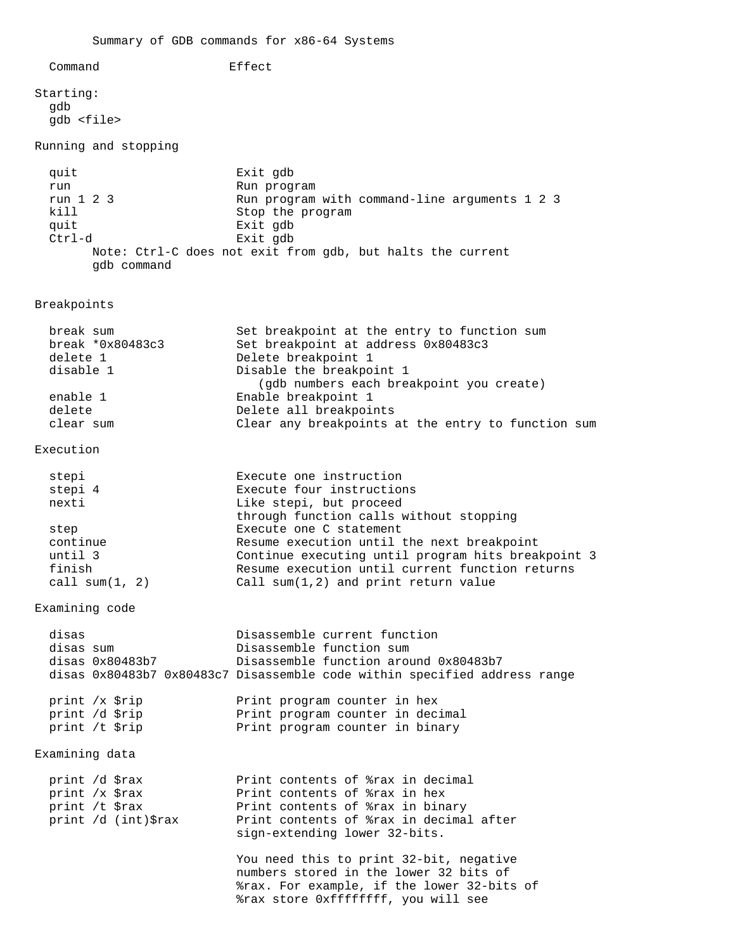Command Effect Starting: gdb gdb <file> Running and stopping quit Exit gdb run **Run** Run program run 1 2 3 Run program with command-line arguments 1 2 3 kill Stop the program quit Exit gdb Ctrl-d Exit gdb Note: Ctrl-C does not exit from gdb, but halts the current gdb command Breakpoints break sum Set breakpoint at the entry to function sum break \*0x80483c3 Set breakpoint at address 0x80483c3 delete 1 Delete breakpoint 1 disable 1 Disable the breakpoint 1 (gdb numbers each breakpoint you create) enable 1 Enable breakpoint 1 delete Delete all breakpoints clear sum Clear any breakpoints at the entry to function sum Execution stepi **Execute** one instruction stepi 4 Execute four instructions nexti Like stepi, but proceed through function calls without stopping step Execute one C statement<br>
continue execution until Resume execution until the next breakpoint until 3 Continue executing until program hits breakpoint 3 finish Resume execution until current function returns call sum(1, 2) Call sum(1,2) and print return value Examining code disas  $\begin{array}{ccc}\n \text{disas} & \text{Disassemble current function} \\
 \text{diss sum} & \text{Disassemble function sum}\n \end{array}$ Disassemble function sum disas 0x80483b7 Disassemble function around 0x80483b7 disas 0x80483b7 0x80483c7 Disassemble code within specified address range print /x \$rip Print program counter in hex print /d \$rip Print program counter in decimal print /t \$rip Print program counter in binary Examining data print /d \$rax Print contents of \$rax in decimal<br>print /x \$rax Print contents of \$rax in hex<br>print /t \$rax Print contents of \$rax in binary Print contents of %rax in hex Print contents of %rax in binary print /d (int)\$rax Print contents of %rax in decimal after sign-extending lower 32-bits. You need this to print 32-bit, negative numbers stored in the lower 32 bits of %rax. For example, if the lower 32-bits of %rax store 0xffffffff, you will see